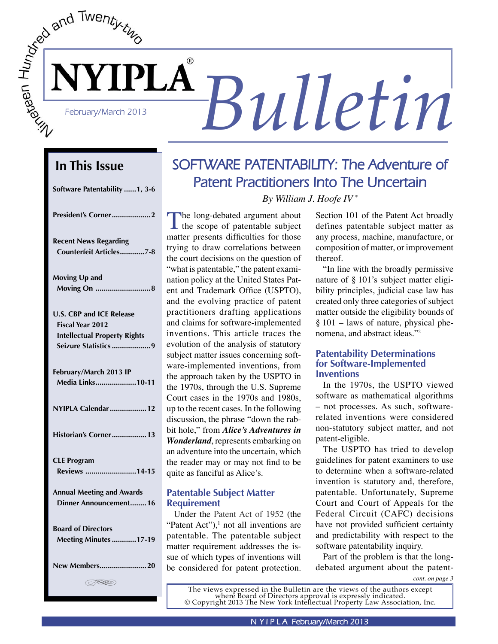# February/March 2013 **Bulletin**

# **In This Issue**

| Software Patentability 1, 3-6                           |
|---------------------------------------------------------|
| President's Corner2                                     |
| <b>Recent News Regarding</b><br>Counterfeit Articles7-8 |
| Moving Up and<br>Moving On  8                           |
| <b>U.S. CBP and ICE Release</b>                         |
| Fiscal Year 2012                                        |
| <b>Intellectual Property Rights</b>                     |
| Seizure Statistics 9                                    |
| February/March 2013 IP                                  |
| Media Links10-11                                        |
| NYIPLA Calendar  12                                     |
| Historian's Corner 13                                   |
| <b>CLE Program</b>                                      |
| Reviews 14-15                                           |
| <b>Annual Meeting and Awards</b>                        |
| Dinner Announcement16                                   |
| <b>Board of Directors</b>                               |
| <b>Meeting Minutes 17-19</b>                            |
| New Members20                                           |
| (RSS)                                                   |

# **SOFTWARE PATENTABILITY: The Adventure of Patent Practitioners Into The Uncertain**

*By William J. Hoofe IV \**

The long-debated argument about<br>the scope of patentable subject matter presents difficulties for those trying to draw correlations between the court decisions on the question of "what is patentable," the patent examination policy at the United States Patent and Trademark Office (USPTO), and the evolving practice of patent practitioners drafting applications and claims for software-implemented inventions. This article traces the evolution of the analysis of statutory subject matter issues concerning software-implemented inventions, from the approach taken by the USPTO in the 1970s, through the U.S. Supreme Court cases in the 1970s and 1980s, up to the recent cases. In the following discussion, the phrase "down the rabbit hole," from *Alice's Adventures in Wonderland*, represents embarking on an adventure into the uncertain, which the reader may or may not find to be quite as fanciful as Alice's.

# **Patentable Subject Matter Requirement**

Under the Patent Act of 1952 (the "Patent Act"), $\frac{1}{1}$  not all inventions are patentable. The patentable subject matter requirement addresses the issue of which types of inventions will be considered for patent protection.

Section 101 of the Patent Act broadly defines patentable subject matter as any process, machine, manufacture, or composition of matter, or improvement thereof.

"In line with the broadly permissive nature of § 101's subject matter eligibility principles, judicial case law has created only three categories of subject matter outside the eligibility bounds of § 101 – laws of nature, physical phenomena, and abstract ideas."2

# **Patentability Determinations for Software-Implemented Inventions**

In the 1970s, the USPTO viewed software as mathematical algorithms – not processes. As such, softwarerelated inventions were considered non-statutory subject matter, and not patent-eligible.

The USPTO has tried to develop guidelines for patent examiners to use to determine when a software-related invention is statutory and, therefore, patentable. Unfortunately, Supreme Court and Court of Appeals for the Federal Circuit (CAFC) decisions have not provided sufficient certainty and predictability with respect to the software patentability inquiry.

Part of the problem is that the longdebated argument about the patent-

*cont. on page 3*

The views expressed in the Bulletin are the views of the authors except where Board of Directors approval is expressly indicated. © Copyright 2013 The New York Intellectual Property Law Association, Inc.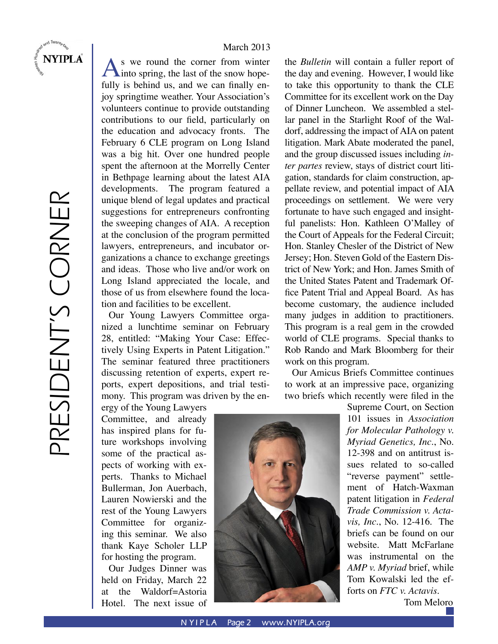

**NYIPLA** 

### March 2013

 $\mathbf{A}$  is we round the corner from winter<br>into spring, the last of the snow hopefully is behind us, and we can finally enjoy springtime weather. Your Association's volunteers continue to provide outstanding contributions to our field, particularly on the education and advocacy fronts. The February 6 CLE program on Long Island was a big hit. Over one hundred people spent the afternoon at the Morrelly Center in Bethpage learning about the latest AIA developments. The program featured a unique blend of legal updates and practical suggestions for entrepreneurs confronting the sweeping changes of AIA. A reception at the conclusion of the program permitted lawyers, entrepreneurs, and incubator organizations a chance to exchange greetings and ideas. Those who live and/or work on Long Island appreciated the locale, and those of us from elsewhere found the location and facilities to be excellent.

Our Young Lawyers Committee organized a lunchtime seminar on February 28, entitled: "Making Your Case: Effectively Using Experts in Patent Litigation." The seminar featured three practitioners discussing retention of experts, expert reports, expert depositions, and trial testimony. This program was driven by the en-

ergy of the Young Lawyers Committee, and already has inspired plans for future workshops involving some of the practical aspects of working with experts. Thanks to Michael Bullerman, Jon Auerbach, Lauren Nowierski and the rest of the Young Lawyers Committee for organizing this seminar. We also thank Kaye Scholer LLP for hosting the program.

Our Judges Dinner was held on Friday, March 22 at the Waldorf=Astoria Hotel. The next issue of the *Bulletin* will contain a fuller report of the day and evening. However, I would like to take this opportunity to thank the CLE Committee for its excellent work on the Day of Dinner Luncheon. We assembled a stellar panel in the Starlight Roof of the Waldorf, addressing the impact of AIA on patent litigation. Mark Abate moderated the panel, and the group discussed issues including *inter partes* review, stays of district court litigation, standards for claim construction, appellate review, and potential impact of AIA proceedings on settlement. We were very fortunate to have such engaged and insightful panelists: Hon. Kathleen O'Malley of the Court of Appeals for the Federal Circuit; Hon. Stanley Chesler of the District of New Jersey; Hon. Steven Gold of the Eastern District of New York; and Hon. James Smith of the United States Patent and Trademark Office Patent Trial and Appeal Board. As has become customary, the audience included many judges in addition to practitioners. This program is a real gem in the crowded world of CLE programs. Special thanks to Rob Rando and Mark Bloomberg for their work on this program.

Our Amicus Briefs Committee continues to work at an impressive pace, organizing two briefs which recently were filed in the

> Supreme Court, on Section 101 issues in *Association for Molecular Pathology v. Myriad Genetics, Inc.*, No. 12-398 and on antitrust issues related to so-called "reverse payment" settlement of Hatch-Waxman patent litigation in *Federal Trade Commission v. Actavis, Inc.*, No. 12-416. The briefs can be found on our website. Matt McFarlane was instrumental on the *AMP v. Myriad* brief, while Tom Kowalski led the efforts on *FTC v. Actavis*.

Tom Meloro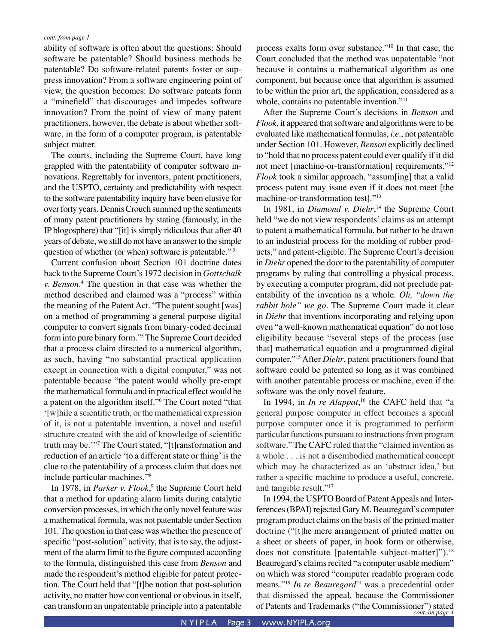ability of software is often about the questions: Should software be patentable? Should business methods be patentable? Do software-related patents foster or suppress innovation? From a software engineering point of view, the question becomes: Do software patents form a "minefield" that discourages and impedes software innovation? From the point of view of many patent practitioners, however, the debate is about whether software, in the form of a computer program, is patentable subject matter.

The courts, including the Supreme Court, have long grappled with the patentability of computer software innovations. Regrettably for inventors, patent practitioners, and the USPTO, certainty and predictability with respect to the software patentability inquiry have been elusive for over forty years. Dennis Crouch summed up the sentiments of many patent practitioners by stating (famously, in the IP blogosphere) that "[it] is simply ridiculous that after 40 years of debate, we still do not have an answer to the simple question of whether (or when) software is patentable."<sup>3</sup>

Current confusion about Section 101 doctrine dates back to the Supreme Court's 1972 decision in *Gottschalk v. Benson*. 4 The question in that case was whether the method described and claimed was a "process" within the meaning of the Patent Act. "The patent sought [was] on a method of programming a general purpose digital computer to convert signals from binary-coded decimal form into pure binary form."5 The Supreme Court decided that a process claim directed to a numerical algorithm, as such, having "no substantial practical application except in connection with a digital computer," was not patentable because "the patent would wholly pre-empt the mathematical formula and in practical effect would be a patent on the algorithm itself."6 The Court noted "that '[w]hile a scientific truth, or the mathematical expression of it, is not a patentable invention, a novel and useful structure created with the aid of knowledge of scientific truth may be.'"7 The Court stated, "[t]ransformation and reduction of an article 'to a different state or thing' is the clue to the patentability of a process claim that does not include particular machines."8

In 1978, in *Parker v. Flook*,<sup>9</sup> the Supreme Court held that a method for updating alarm limits during catalytic conversion processes, in which the only novel feature was a mathematical formula, was not patentable under Section 101. The question in that case was whether the presence of specific "post-solution" activity, that is to say, the adjustment of the alarm limit to the figure computed according to the formula, distinguished this case from *Benson* and made the respondent's method eligible for patent protection. The Court held that "[t]he notion that post-solution activity, no matter how conventional or obvious in itself, can transform an unpatentable principle into a patentable

process exalts form over substance."10 In that case, the Court concluded that the method was unpatentable "not because it contains a mathematical algorithm as one component, but because once that algorithm is assumed to be within the prior art, the application, considered as a whole, contains no patentable invention."<sup>11</sup>

After the Supreme Court's decisions in *Benson* and *Flook*, it appeared that software and algorithms were to be evaluated like mathematical formulas, *i.e.*, not patentable under Section 101. However, *Benson* explicitly declined to "hold that no process patent could ever qualify if it did not meet [machine-or-transformation] requirements."12 *Flook* took a similar approach, "assum[ing] that a valid process patent may issue even if it does not meet [the machine-or-transformation test]."13

In 1981, in *Diamond v. Diehr*, 14 the Supreme Court held "we do not view respondents' claims as an attempt to patent a mathematical formula, but rather to be drawn to an industrial process for the molding of rubber products," and patent-eligible. The Supreme Court's decision in *Diehr* opened the door to the patentability of computer programs by ruling that controlling a physical process, by executing a computer program, did not preclude patentability of the invention as a whole. *Oh, "down the rabbit hole" we go*. The Supreme Court made it clear in *Diehr* that inventions incorporating and relying upon even "a well-known mathematical equation" do not lose eligibility because "several steps of the process [use that] mathematical equation and a programmed digital computer."15 After *Diehr*, patent practitioners found that software could be patented so long as it was combined with another patentable process or machine, even if the software was the only novel feature.

In 1994, in *In re Alappat*,<sup>16</sup> the CAFC held that "a general purpose computer in effect becomes a special purpose computer once it is programmed to perform particular functions pursuant to instructions from program software." The CAFC ruled that the "claimed invention as a whole . . . is not a disembodied mathematical concept which may be characterized as an 'abstract idea,' but rather a specific machine to produce a useful, concrete, and tangible result."17

*cont. on page 4* of Patents and Trademarks ("the Commissioner") stated In 1994, the USPTO Board of Patent Appeals and Interferences (BPAI) rejected Gary M. Beauregard's computer program product claims on the basis of the printed matter doctrine ("[t]he mere arrangement of printed matter on a sheet or sheets of paper, in book form or otherwise, does not constitute [patentable subject-matter]").<sup>18</sup> Beauregard's claims recited "a computer usable medium" on which was stored "computer readable program code means."<sup>19</sup> *In re Beauregard*<sup>20</sup> was a precedential order that dismissed the appeal, because the Commissioner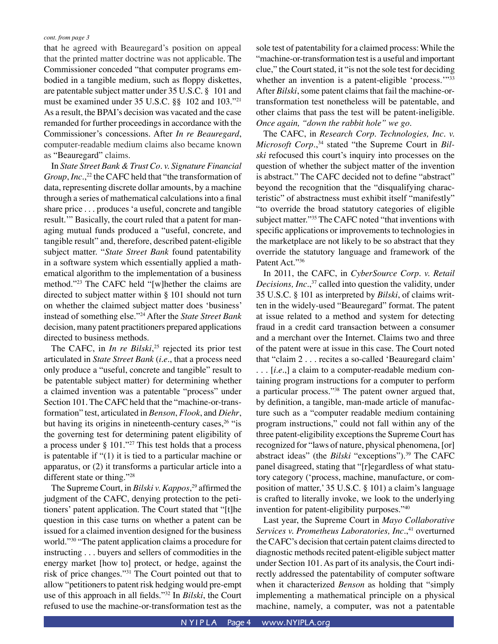that he agreed with Beauregard's position on appeal that the printed matter doctrine was not applicable. The Commissioner conceded "that computer programs embodied in a tangible medium, such as floppy diskettes, are patentable subject matter under 35 U.S.C. § 101 and must be examined under 35 U.S.C. §§ 102 and 103."21 As a result, the BPAI's decision was vacated and the case remanded for further proceedings in accordance with the Commissioner's concessions. After *In re Beauregard*, computer-readable medium claims also became known as "Beauregard" claims.

In *State Street Bank & Trust Co. v. Signature Financial Group*, *Inc.*, 22 the CAFC held that "the transformation of data, representing discrete dollar amounts, by a machine through a series of mathematical calculations into a final share price . . . produces 'a useful, concrete and tangible result.'" Basically, the court ruled that a patent for managing mutual funds produced a "useful, concrete, and tangible result" and, therefore, described patent-eligible subject matter. "*State Street Bank* found patentability in a software system which essentially applied a mathematical algorithm to the implementation of a business method."23 The CAFC held "[w]hether the claims are directed to subject matter within § 101 should not turn on whether the claimed subject matter does 'business' instead of something else."24 After the *State Street Bank*  decision, many patent practitioners prepared applications directed to business methods.

The CAFC, in *In re Bilski*, 25 rejected its prior test articulated in *State Street Bank* (*i.e.*, that a process need only produce a "useful, concrete and tangible" result to be patentable subject matter) for determining whether a claimed invention was a patentable "process" under Section 101. The CAFC held that the "machine-or-transformation" test, articulated in *Benson*, *Flook*, and *Diehr*, but having its origins in nineteenth-century cases,<sup>26</sup> "is the governing test for determining patent eligibility of a process under § 101."27 This test holds that a process is patentable if "(1) it is tied to a particular machine or apparatus, or (2) it transforms a particular article into a different state or thing."28

The Supreme Court, in *Bilski v. Kappos*, <sup>29</sup> affirmed the judgment of the CAFC, denying protection to the petitioners' patent application. The Court stated that "[t]he question in this case turns on whether a patent can be issued for a claimed invention designed for the business world."30 "The patent application claims a procedure for instructing . . . buyers and sellers of commodities in the energy market [how to] protect, or hedge, against the risk of price changes."31 The Court pointed out that to allow "petitioners to patent risk hedging would pre-empt use of this approach in all fields."32 In *Bilski*, the Court refused to use the machine-or-transformation test as the

sole test of patentability for a claimed process: While the "machine-or-transformation test is a useful and important clue," the Court stated, it "is not the sole test for deciding whether an invention is a patent-eligible 'process."<sup>33</sup> After *Bilski*, some patent claims that fail the machine-ortransformation test nonetheless will be patentable, and other claims that pass the test will be patent-ineligible. *Once again, "down the rabbit hole" we go*.

The CAFC, in *Research Corp. Technologies, Inc. v. Microsoft Corp.*, 34 stated "the Supreme Court in *Bilski* refocused this court's inquiry into processes on the question of whether the subject matter of the invention is abstract." The CAFC decided not to define "abstract" beyond the recognition that the "disqualifying characteristic" of abstractness must exhibit itself "manifestly" "to override the broad statutory categories of eligible subject matter."35 The CAFC noted "that inventions with specific applications or improvements to technologies in the marketplace are not likely to be so abstract that they override the statutory language and framework of the Patent Act."36

In 2011, the CAFC, in *CyberSource Corp. v. Retail Decisions, Inc.*, 37 called into question the validity, under 35 U.S.C. § 101 as interpreted by *Bilski*, of claims written in the widely-used "Beauregard" format. The patent at issue related to a method and system for detecting fraud in a credit card transaction between a consumer and a merchant over the Internet. Claims two and three of the patent were at issue in this case. The Court noted that "claim 2 . . . recites a so-called 'Beauregard claim' . . . [*i.e.*,] a claim to a computer-readable medium containing program instructions for a computer to perform a particular process."38 The patent owner argued that, by definition, a tangible, man-made article of manufacture such as a "computer readable medium containing program instructions," could not fall within any of the three patent-eligibility exceptions the Supreme Court has recognized for "laws of nature, physical phenomena, [or] abstract ideas" (the *Bilski* "exceptions").39 The CAFC panel disagreed, stating that "[r]egardless of what statutory category ('process, machine, manufacture, or composition of matter,' 35 U.S.C. § 101) a claim's language is crafted to literally invoke, we look to the underlying invention for patent-eligibility purposes."40

Last year, the Supreme Court in *Mayo Collaborative Services v. Prometheus Laboratories, Inc.*,<sup>41</sup> overturned the CAFC's decision that certain patent claims directed to diagnostic methods recited patent-eligible subject matter under Section 101. As part of its analysis, the Court indirectly addressed the patentability of computer software when it characterized *Benson* as holding that "simply implementing a mathematical principle on a physical machine, namely, a computer, was not a patentable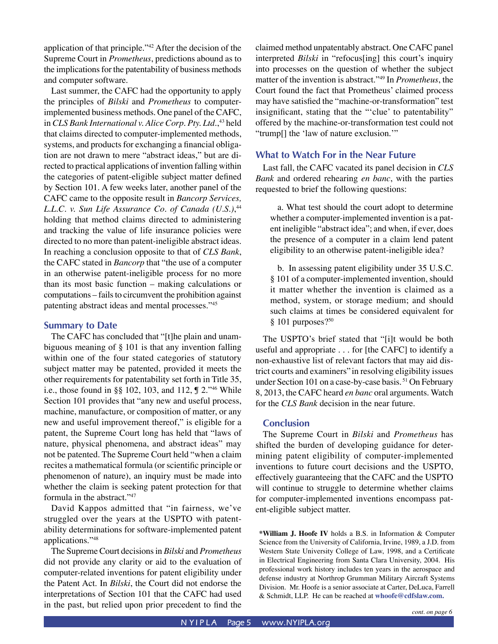application of that principle."42 After the decision of the Supreme Court in *Prometheus*, predictions abound as to the implications for the patentability of business methods and computer software.

Last summer, the CAFC had the opportunity to apply the principles of *Bilski* and *Prometheus* to computerimplemented business methods. One panel of the CAFC, in *CLS Bank International v. Alice Corp. Pty. Ltd.*, 43 held that claims directed to computer-implemented methods, systems, and products for exchanging a financial obligation are not drawn to mere "abstract ideas," but are directed to practical applications of invention falling within the categories of patent-eligible subject matter defined by Section 101. A few weeks later, another panel of the CAFC came to the opposite result in *Bancorp Services, L.L.C. v. Sun Life Assurance Co. of Canada (U.S.)*, 44 holding that method claims directed to administering and tracking the value of life insurance policies were directed to no more than patent-ineligible abstract ideas. In reaching a conclusion opposite to that of *CLS Bank*, the CAFC stated in *Bancorp* that "the use of a computer in an otherwise patent-ineligible process for no more than its most basic function – making calculations or computations – fails to circumvent the prohibition against patenting abstract ideas and mental processes."45

### **Summary to Date**

The CAFC has concluded that "[t]he plain and unambiguous meaning of § 101 is that any invention falling within one of the four stated categories of statutory subject matter may be patented, provided it meets the other requirements for patentability set forth in Title 35, i.e., those found in §§ 102, 103, and 112, ¶ 2."46 While Section 101 provides that "any new and useful process, machine, manufacture, or composition of matter, or any new and useful improvement thereof," is eligible for a patent, the Supreme Court long has held that "laws of nature, physical phenomena, and abstract ideas" may not be patented. The Supreme Court held "when a claim recites a mathematical formula (or scientific principle or phenomenon of nature), an inquiry must be made into whether the claim is seeking patent protection for that formula in the abstract."47

David Kappos admitted that "in fairness, we've struggled over the years at the USPTO with patentability determinations for software-implemented patent applications."48

The Supreme Court decisions in *Bilski* and *Prometheus*  did not provide any clarity or aid to the evaluation of computer-related inventions for patent eligibility under the Patent Act. In *Bilski*, the Court did not endorse the interpretations of Section 101 that the CAFC had used in the past, but relied upon prior precedent to find the claimed method unpatentably abstract. One CAFC panel interpreted *Bilski* in "refocus[ing] this court's inquiry into processes on the question of whether the subject matter of the invention is abstract."49 In *Prometheus*, the Court found the fact that Prometheus' claimed process may have satisfied the "machine-or-transformation" test insignificant, stating that the "'clue' to patentability" offered by the machine-or-transformation test could not "trump[] the 'law of nature exclusion.'"

### **What to Watch For in the Near Future**

Last fall, the CAFC vacated its panel decision in *CLS Bank* and ordered rehearing *en banc*, with the parties requested to brief the following questions:

a. What test should the court adopt to determine whether a computer-implemented invention is a patent ineligible "abstract idea"; and when, if ever, does the presence of a computer in a claim lend patent eligibility to an otherwise patent-ineligible idea?

b. In assessing patent eligibility under 35 U.S.C. § 101 of a computer-implemented invention, should it matter whether the invention is claimed as a method, system, or storage medium; and should such claims at times be considered equivalent for  $§$  101 purposes?<sup>50</sup>

The USPTO's brief stated that "[i]t would be both useful and appropriate . . . for [the CAFC] to identify a non-exhaustive list of relevant factors that may aid district courts and examiners" in resolving eligibility issues under Section 101 on a case-by-case basis. 51 On February 8, 2013, the CAFC heard *en banc* oral arguments. Watch for the *CLS Bank* decision in the near future.

### **Conclusion**

The Supreme Court in *Bilski* and *Prometheus* has shifted the burden of developing guidance for determining patent eligibility of computer-implemented inventions to future court decisions and the USPTO, effectively guaranteeing that the CAFC and the USPTO will continue to struggle to determine whether claims for computer-implemented inventions encompass patent-eligible subject matter.

**\*William J. Hoofe IV** holds a B.S. in Information & Computer Science from the University of California, Irvine, 1989, a J.D. from Western State University College of Law, 1998, and a Certificate in Electrical Engineering from Santa Clara University, 2004. His professional work history includes ten years in the aerospace and defense industry at Northrop Grumman Military Aircraft Systems Division. Mr. Hoofe is a senior associate at Carter, DeLuca, Farrell & Schmidt, LLP. He can be reached at **[whoofe@cdfslaw.com](mailto:whoofe@cdfslaw.com).**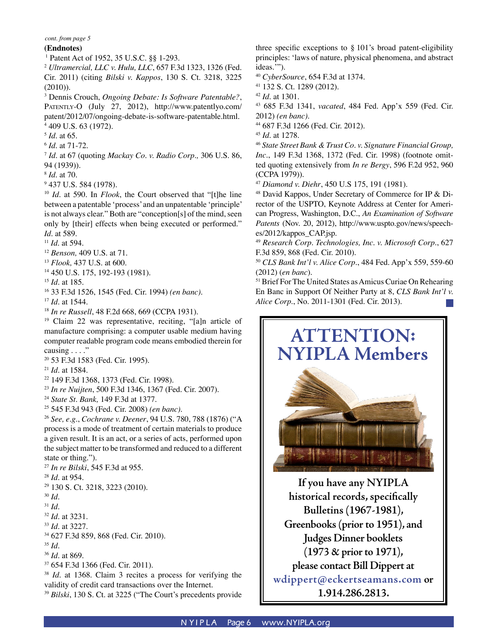### **(Endnotes)**

1 Patent Act of 1952, 35 U.S.C. §§ 1-293.

<sup>2</sup> *Ultramercial, LLC v. Hulu, LLC*, 657 F.3d 1323, 1326 (Fed. Cir. 2011) (citing *Bilski v. Kappos*, 130 S. Ct. 3218, 3225 (2010)).

3 Dennis Crouch, *Ongoing Debate: Is Software Patentable?*, PATENTLY-O (July 27, 2012), http://www.patentlyo.com/ patent/2012/07/ongoing-debate-is-software-patentable.html. 4 409 U.S. 63 (1972).

<sup>5</sup> *Id.* at 65.

<sup>6</sup> *Id.* at 71-72.

<sup>7</sup> *Id.* at 67 (quoting *Mackay Co. v. Radio Corp.,* 306 U.S. 86, 94 (1939)).

<sup>8</sup> *Id.* at 70.

<sup>9</sup> 437 U.S. 584 (1978).

<sup>10</sup> *Id.* at 590. In *Flook*, the Court observed that "[t]he line between a patentable 'process' and an unpatentable 'principle' is not always clear." Both are "conception[s] of the mind, seen only by [their] effects when being executed or performed." *Id.* at 589.

- <sup>11</sup> *Id.* at 594.
- <sup>12</sup> *Benson,* 409 U.S. at 71.

<sup>13</sup> *Flook,* 437 U.S. at 600.

14 450 U.S. 175, 192-193 (1981).

<sup>15</sup> *Id.* at 185.

16 33 F.3d 1526, 1545 (Fed. Cir. 1994) *(en banc)*.

<sup>17</sup> *Id.* at 1544.

<sup>18</sup> *In re Russell*, 48 F.2d 668, 669 (CCPA 1931).

19 Claim 22 was representative, reciting, "[a]n article of manufacture comprising: a computer usable medium having computer readable program code means embodied therein for causing . . . ."

20 53 F.3d 1583 (Fed. Cir. 1995).

<sup>21</sup> *Id.* at 1584.

22 149 F.3d 1368, 1373 (Fed. Cir. 1998).

<sup>23</sup> *In re Nuijten*, 500 F.3d 1346, 1367 (Fed. Cir. 2007).

<sup>24</sup> *State St. Bank,* 149 F.3d at 1377.

25 545 F.3d 943 (Fed. Cir. 2008) *(en banc)*.

<sup>26</sup> *See, e.g.*, *Cochrane v. Deener*, 94 U.S. 780, 788 (1876) ("A process is a mode of treatment of certain materials to produce a given result. It is an act, or a series of acts, performed upon the subject matter to be transformed and reduced to a different state or thing.").

<sup>27</sup> *In re Bilski*, 545 F.3d at 955.

<sup>28</sup> *Id.* at 954.

29 130 S. Ct. 3218, 3223 (2010).

<sup>30</sup> *Id.*

<sup>31</sup> *Id.*

<sup>32</sup> *Id.* at 3231.

<sup>33</sup> *Id.* at 3227.

34 627 F.3d 859, 868 (Fed. Cir. 2010).

<sup>35</sup> *Id.*

<sup>36</sup> *Id.* at 869.

37 654 F.3d 1366 (Fed. Cir. 2011).

<sup>38</sup> *Id.* at 1368. Claim 3 recites a process for verifying the validity of credit card transactions over the Internet.

<sup>39</sup> *Bilski*, 130 S. Ct. at 3225 ("The Court's precedents provide

three specific exceptions to § 101's broad patent-eligibility principles: 'laws of nature, physical phenomena, and abstract ideas.'").

<sup>40</sup> *CyberSource*, 654 F.3d at 1374.

41 132 S. Ct. 1289 (2012).

<sup>42</sup> *Id.* at 1301.

43 685 F.3d 1341, *vacated*, 484 Fed. App'x 559 (Fed. Cir. 2012) *(en banc)*.

44 687 F.3d 1266 (Fed. Cir. 2012).

<sup>45</sup> *Id.* at 1278.

<sup>46</sup> *State Street Bank & Trust Co. v. Signature Financial Group, Inc.*, 149 F.3d 1368, 1372 (Fed. Cir. 1998) (footnote omitted quoting extensively from *In re Bergy*, 596 F.2d 952, 960 (CCPA 1979)).

<sup>47</sup> *Diamond v. Diehr*, 450 U.S 175, 191 (1981).

48 David Kappos, Under Secretary of Commerce for IP & Director of the USPTO, Keynote Address at Center for American Progress, Washington, D.C., *An Examination of Software Patents* (Nov. 20, 2012), http://www.uspto.gov/news/speeches/2012/kappos\_CAP.jsp.

<sup>49</sup> *Research Corp. Technologies, Inc. v. Microsoft Corp.*, 627 F.3d 859, 868 (Fed. Cir. 2010).

<sup>50</sup> *CLS Bank Int'l v. Alice Corp.*, 484 Fed. App'x 559, 559-60 (2012) (*en banc*).

<sup>51</sup> Brief For The United States as Amicus Curiae On Rehearing En Banc in Support Of Neither Party at 8, *CLS Bank Int'l v. Alice Corp.*, No. 2011-1301 (Fed. Cir. 2013).



**If you have any NYIPLA historical records, specifically Bulletins (1967-1981), Greenbooks (prior to 1951), and Judges Dinner booklets (1973 & prior to 1971), please contact Bill Dippert at wdippert@eckertseamans.com or 1.914.286.2813.**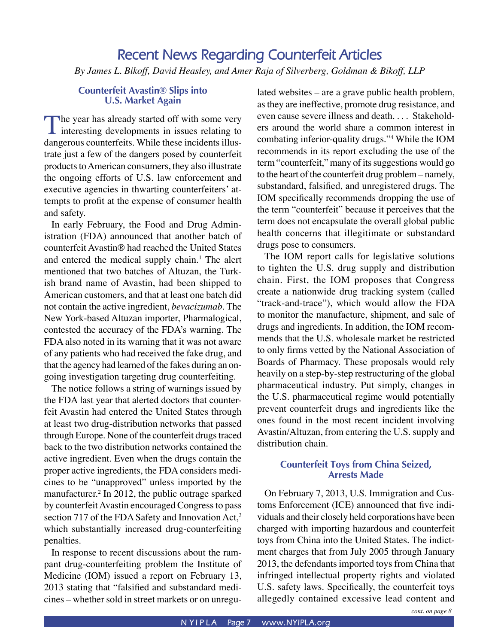# **Recent News Regarding Counterfeit Articles** *By James L. Bikoff, David Heasley, and Amer Raja of Silverberg, Goldman & Bikoff, LLP*

# **Counterfeit Avastin® Slips into U.S. Market Again**

The year has already started off with some very interesting developments in issues relating to dangerous counterfeits. While these incidents illustrate just a few of the dangers posed by counterfeit products to American consumers, they also illustrate the ongoing efforts of U.S. law enforcement and executive agencies in thwarting counterfeiters' attempts to profit at the expense of consumer health and safety.

In early February, the Food and Drug Administration (FDA) announced that another batch of counterfeit Avastin® had reached the United States and entered the medical supply chain.<sup>1</sup> The alert mentioned that two batches of Altuzan, the Turkish brand name of Avastin, had been shipped to American customers, and that at least one batch did not contain the active ingredient, *bevacizumab*. The New York-based Altuzan importer, Pharmalogical, contested the accuracy of the FDA's warning. The FDA also noted in its warning that it was not aware of any patients who had received the fake drug, and that the agency had learned of the fakes during an ongoing investigation targeting drug counterfeiting.

The notice follows a string of warnings issued by the FDA last year that alerted doctors that counterfeit Avastin had entered the United States through at least two drug-distribution networks that passed through Europe. None of the counterfeit drugs traced back to the two distribution networks contained the active ingredient. Even when the drugs contain the proper active ingredients, the FDA considers medicines to be "unapproved" unless imported by the manufacturer.2 In 2012, the public outrage sparked by counterfeit Avastin encouraged Congress to pass section 717 of the FDA Safety and Innovation Act,<sup>3</sup> which substantially increased drug-counterfeiting penalties.

In response to recent discussions about the rampant drug-counterfeiting problem the Institute of Medicine (IOM) issued a report on February 13, 2013 stating that "falsified and substandard medicines – whether sold in street markets or on unregulated websites – are a grave public health problem, as they are ineffective, promote drug resistance, and even cause severe illness and death. . . . Stakeholders around the world share a common interest in combating inferior-quality drugs."4 While the IOM recommends in its report excluding the use of the term "counterfeit," many of its suggestions would go to the heart of the counterfeit drug problem – namely, substandard, falsified, and unregistered drugs. The IOM specifically recommends dropping the use of the term "counterfeit" because it perceives that the term does not encapsulate the overall global public health concerns that illegitimate or substandard drugs pose to consumers.

The IOM report calls for legislative solutions to tighten the U.S. drug supply and distribution chain. First, the IOM proposes that Congress create a nationwide drug tracking system (called "track-and-trace"), which would allow the FDA to monitor the manufacture, shipment, and sale of drugs and ingredients. In addition, the IOM recommends that the U.S. wholesale market be restricted to only firms vetted by the National Association of Boards of Pharmacy. These proposals would rely heavily on a step-by-step restructuring of the global pharmaceutical industry. Put simply, changes in the U.S. pharmaceutical regime would potentially prevent counterfeit drugs and ingredients like the ones found in the most recent incident involving Avastin/Altuzan, from entering the U.S. supply and distribution chain.

# **Counterfeit Toys from China Seized, Arrests Made**

On February 7, 2013, U.S. Immigration and Customs Enforcement (ICE) announced that five individuals and their closely held corporations have been charged with importing hazardous and counterfeit toys from China into the United States. The indictment charges that from July 2005 through January 2013, the defendants imported toys from China that infringed intellectual property rights and violated U.S. safety laws. Specifically, the counterfeit toys allegedly contained excessive lead content and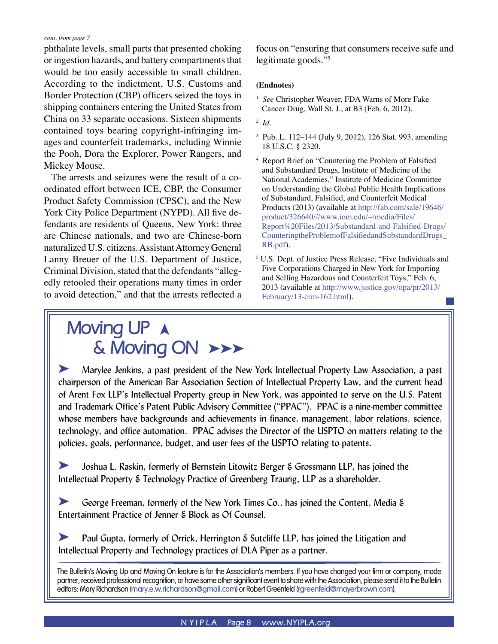phthalate levels, small parts that presented choking or ingestion hazards, and battery compartments that would be too easily accessible to small children. According to the indictment, U.S. Customs and Border Protection (CBP) officers seized the toys in shipping containers entering the United States from China on 33 separate occasions. Sixteen shipments contained toys bearing copyright-infringing images and counterfeit trademarks, including Winnie the Pooh, Dora the Explorer, Power Rangers, and Mickey Mouse.

The arrests and seizures were the result of a coordinated effort between ICE, CBP, the Consumer Product Safety Commission (CPSC), and the New York City Police Department (NYPD). All five defendants are residents of Queens, New York: three are Chinese nationals, and two are Chinese-born naturalized U.S. citizens. Assistant Attorney General Lanny Breuer of the U.S. Department of Justice, Criminal Division, stated that the defendants "allegedly retooled their operations many times in order to avoid detection," and that the arrests reflected a

# **Moving UP A & Moving ON >>>**

focus on "ensuring that consumers receive safe and legitimate goods."5

### **(Endnotes)**

- <sup>1</sup> See Christopher Weaver, FDA Warns of More Fake Cancer Drug, Wall St. J., at B3 (Feb. 6, 2012).
- 2 *Id*.
- 3 Pub. L. 112–144 (July 9, 2012), 126 Stat. 993, amending 18 U.S.C. § 2320.
- 4 Report Brief on "Countering the Problem of Falsified and Substandard Drugs, Institute of Medicine of the National Academies," Institute of Medicine Committee on Understanding the Global Public Health Implications of Substandard, Falsified, and Counterfeit Medical Products (2013) (available at [http://fab.com/sale/19646/](http://fab.com/sale/19646/product/326640///www.iom.edu/~/media/Files/Report%20Files/2013/Substandard-and-Falsified-Drugs/CounteringtheProblemofFalsifiedandSubstandardDrugs_RB.pdf) [product/326640///www.iom.edu/~/media/Files/](http://fab.com/sale/19646/product/326640///www.iom.edu/~/media/Files/Report%20Files/2013/Substandard-and-Falsified-Drugs/CounteringtheProblemofFalsifiedandSubstandardDrugs_RB.pdf) [Report%20Files/2013/Substandard-and-Falsified-Drugs/](http://fab.com/sale/19646/product/326640///www.iom.edu/~/media/Files/Report%20Files/2013/Substandard-and-Falsified-Drugs/CounteringtheProblemofFalsifiedandSubstandardDrugs_RB.pdf) [CounteringtheProblemofFalsifiedandSubstandardDrugs\\_](http://fab.com/sale/19646/product/326640///www.iom.edu/~/media/Files/Report%20Files/2013/Substandard-and-Falsified-Drugs/CounteringtheProblemofFalsifiedandSubstandardDrugs_RB.pdf) [RB.pdf](http://fab.com/sale/19646/product/326640///www.iom.edu/~/media/Files/Report%20Files/2013/Substandard-and-Falsified-Drugs/CounteringtheProblemofFalsifiedandSubstandardDrugs_RB.pdf)).
- 5 U.S. Dept. of Justice Press Release, "Five Individuals and Five Corporations Charged in New York for Importing and Selling Hazardous and Counterfeit Toys," Feb. 6, 2013 (available at [http://www.justice.gov/opa/pr/2013/](http://www.justice.gov/opa/pr/2013/February/13-crm-162.html) [February/13-crm-162.html](http://www.justice.gov/opa/pr/2013/February/13-crm-162.html)).

k Marylee Jenkins, a past president of the New York Intellectual Property Law Association, a past chairperson of the American Bar Association Section of Intellectual Property Law, and the current head of Arent Fox LLP's Intellectual Property group in New York, was appointed to serve on the U.S. Patent and Trademark Office's Patent Public Advisory Committee ("PPAC"). PPAC is a nine-member committee whose members have backgrounds and achievements in finance, management, labor relations, science, technology, and office automation. PPAC advises the Director of the USPTO on matters relating to the policies, goals, performance, budget, and user fees of the USPTO relating to patents.

k Joshua L. Raskin, formerly of Bernstein Litowitz Berger & Grossmann LLP, has joined the Intellectual Property & Technology Practice of Greenberg Traurig, LLP as a shareholder.

**K** George Freeman, formerly of the New York Times Co., has joined the Content, Media & Entertainment Practice of Jenner & Block as Of Counsel.

**EXECUTE:** Paul Gupta, formerly of Orrick, Herrington & Sutcliffe LLP, has joined the Litigation and Intellectual Property and Technology practices of DLA Piper as a partner.

The Bulletin's Moving Up and Moving On feature is for the Association's members. If you have changed your firm or company, made partner, received professional recognition, or have some other significant event to share with the Association, please send it to the Bulletin editors: Mary Richardson (mary.e.w.richardson@gmail.com) or Robert Greenfeld (rgreenfeld@mayerbrown.com).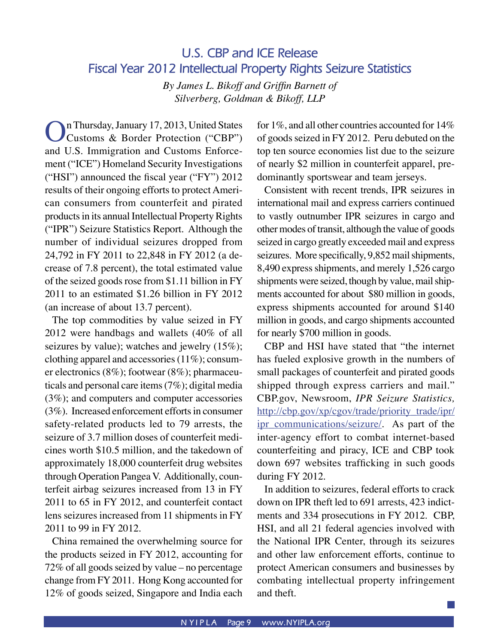# **U.S. CBP and ICE Release Fiscal Year 2012 Intellectual Property Rights Seizure Statistics**

*By James L. Bikoff and Griffin Barnett of Silverberg, Goldman & Bikoff, LLP*

On Thursday, January 17, 2013, United States Customs & Border Protection ("CBP") and U.S. Immigration and Customs Enforcement ("ICE") Homeland Security Investigations ("HSI") announced the fiscal year ("FY") 2012 results of their ongoing efforts to protect American consumers from counterfeit and pirated products in its annual Intellectual Property Rights ("IPR") Seizure Statistics Report. Although the number of individual seizures dropped from 24,792 in FY 2011 to 22,848 in FY 2012 (a decrease of 7.8 percent), the total estimated value of the seized goods rose from \$1.11 billion in FY 2011 to an estimated \$1.26 billion in FY 2012 (an increase of about 13.7 percent).

The top commodities by value seized in FY 2012 were handbags and wallets (40% of all seizures by value); watches and jewelry (15%); clothing apparel and accessories (11%); consumer electronics (8%); footwear (8%); pharmaceuticals and personal care items (7%); digital media (3%); and computers and computer accessories (3%). Increased enforcement efforts in consumer safety-related products led to 79 arrests, the seizure of 3.7 million doses of counterfeit medicines worth \$10.5 million, and the takedown of approximately 18,000 counterfeit drug websites through Operation Pangea V. Additionally, counterfeit airbag seizures increased from 13 in FY 2011 to 65 in FY 2012, and counterfeit contact lens seizures increased from 11 shipments in FY 2011 to 99 in FY 2012.

China remained the overwhelming source for the products seized in FY 2012, accounting for 72% of all goods seized by value – no percentage change from FY 2011. Hong Kong accounted for 12% of goods seized, Singapore and India each for 1%, and all other countries accounted for 14% of goods seized in FY 2012. Peru debuted on the top ten source economies list due to the seizure of nearly \$2 million in counterfeit apparel, predominantly sportswear and team jerseys.

Consistent with recent trends, IPR seizures in international mail and express carriers continued to vastly outnumber IPR seizures in cargo and other modes of transit, although the value of goods seized in cargo greatly exceeded mail and express seizures. More specifically, 9,852 mail shipments, 8,490 express shipments, and merely 1,526 cargo shipments were seized, though by value, mail shipments accounted for about \$80 million in goods, express shipments accounted for around \$140 million in goods, and cargo shipments accounted for nearly \$700 million in goods.

CBP and HSI have stated that "the internet has fueled explosive growth in the numbers of small packages of counterfeit and pirated goods shipped through express carriers and mail." CBP.gov, Newsroom, *IPR Seizure Statistics,*  [http://cbp.gov/xp/cgov/trade/priority\\_trade/ipr/](http://cbp.gov/xp/cgov/trade/priority_trade/ipr/ipr_communications/seizure/) [ipr\\_communications/seizure/.](http://cbp.gov/xp/cgov/trade/priority_trade/ipr/ipr_communications/seizure/) As part of the inter-agency effort to combat internet-based counterfeiting and piracy, ICE and CBP took down 697 websites trafficking in such goods during FY 2012.

In addition to seizures, federal efforts to crack down on IPR theft led to 691 arrests, 423 indictments and 334 prosecutions in FY 2012. CBP, HSI, and all 21 federal agencies involved with the National IPR Center, through its seizures and other law enforcement efforts, continue to protect American consumers and businesses by combating intellectual property infringement and theft.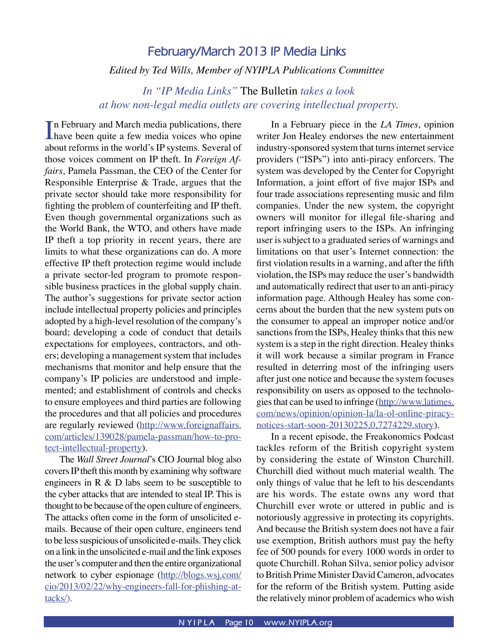# **February/March 2013 IP Media Links** *Edited by Ted Wills, Member of NYIPLA Publications Committee*

# *In "IP Media Links"* The Bulletin *takes a look at how non-legal media outlets are covering intellectual property.*

In February and March media publications, there<br>have been quite a few media voices who opine **Thave been quite a few media voices who opine** about reforms in the world's IP systems. Several of those voices comment on IP theft. In *Foreign Affairs*, Pamela Passman, the CEO of the Center for Responsible Enterprise & Trade, argues that the private sector should take more responsibility for fighting the problem of counterfeiting and IP theft. Even though governmental organizations such as the World Bank, the WTO, and others have made IP theft a top priority in recent years, there are limits to what these organizations can do. A more effective IP theft protection regime would include a private sector-led program to promote responsible business practices in the global supply chain. The author's suggestions for private sector action include intellectual property policies and principles adopted by a high-level resolution of the company's board; developing a code of conduct that details expectations for employees, contractors, and others; developing a management system that includes mechanisms that monitor and help ensure that the company's IP policies are understood and implemented; and establishment of controls and checks to ensure employees and third parties are following the procedures and that all policies and procedures are regularly reviewed ([http://www.foreignaffairs.](http://www.foreignaffairs.com/articles/139028/pamela-passman/how-to-protect-intellectual-property) [com/articles/139028/pamela-passman/how-to-pro](http://www.foreignaffairs.com/articles/139028/pamela-passman/how-to-protect-intellectual-property)[tect-intellectual-property\)](http://www.foreignaffairs.com/articles/139028/pamela-passman/how-to-protect-intellectual-property).

 The *Wall Street Journal*'s CIO Journal blog also covers IP theft this month by examining why software engineers in R & D labs seem to be susceptible to the cyber attacks that are intended to steal IP. This is thought to be because of the open culture of engineers. The attacks often come in the form of unsolicited emails. Because of their open culture, engineers tend to be less suspicious of unsolicited e-mails. They click on a link in the unsolicited e-mail and the link exposes the user's computer and then the entire organizational network to cyber espionage ([http://blogs.wsj.com/](http://blogs.wsj.com/cio/2013/02/22/why-engineers-fall-for-phishing-attacks/) [cio/2013/02/22/why-engineers-fall-for-phishing-at](http://blogs.wsj.com/cio/2013/02/22/why-engineers-fall-for-phishing-attacks/)[tacks/](http://blogs.wsj.com/cio/2013/02/22/why-engineers-fall-for-phishing-attacks/)).

In a February piece in the *LA Times*, opinion writer Jon Healey endorses the new entertainment industry-sponsored system that turns internet service providers ("ISPs") into anti-piracy enforcers. The system was developed by the Center for Copyright Information, a joint effort of five major ISPs and four trade associations representing music and film companies. Under the new system, the copyright owners will monitor for illegal file-sharing and report infringing users to the ISPs. An infringing user is subject to a graduated series of warnings and limitations on that user's Internet connection: the first violation results in a warning, and after the fifth violation, the ISPs may reduce the user's bandwidth and automatically redirect that user to an anti-piracy information page. Although Healey has some concerns about the burden that the new system puts on the consumer to appeal an improper notice and/or sanctions from the ISPs, Healey thinks that this new system is a step in the right direction. Healey thinks it will work because a similar program in France resulted in deterring most of the infringing users after just one notice and because the system focuses responsibility on users as opposed to the technologies that can be used to infringe [\(http://www.latimes.](http://www.latimes.com/news/opinion/opinion-la/la-ol-online-piracy-notices-start-soon-20130225,0,7274229.story) [com/news/opinion/opinion-la/la-ol-online-piracy](http://www.latimes.com/news/opinion/opinion-la/la-ol-online-piracy-notices-start-soon-20130225,0,7274229.story)[notices-start-soon-20130225,0,7274229.story\)](http://www.latimes.com/news/opinion/opinion-la/la-ol-online-piracy-notices-start-soon-20130225,0,7274229.story).

 In a recent episode, the Freakonomics Podcast tackles reform of the British copyright system by considering the estate of Winston Churchill. Churchill died without much material wealth. The only things of value that he left to his descendants are his words. The estate owns any word that Churchill ever wrote or uttered in public and is notoriously aggressive in protecting its copyrights. And because the British system does not have a fair use exemption, British authors must pay the hefty fee of 500 pounds for every 1000 words in order to quote Churchill. Rohan Silva, senior policy advisor to British Prime Minister David Cameron, advocates for the reform of the British system. Putting aside the relatively minor problem of academics who wish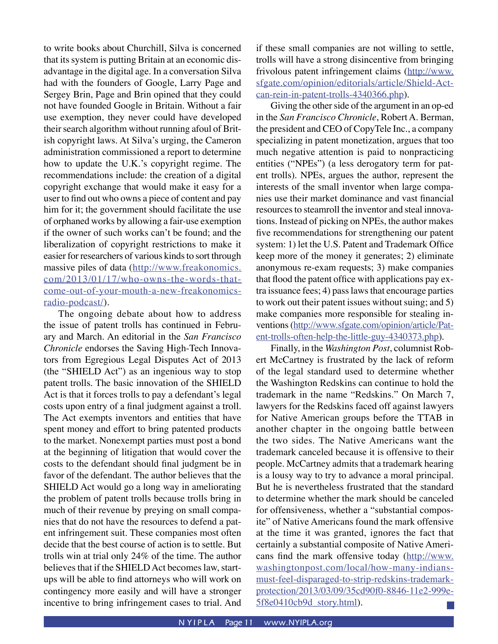to write books about Churchill, Silva is concerned that its system is putting Britain at an economic disadvantage in the digital age. In a conversation Silva had with the founders of Google, Larry Page and Sergey Brin, Page and Brin opined that they could not have founded Google in Britain. Without a fair use exemption, they never could have developed their search algorithm without running afoul of British copyright laws. At Silva's urging, the Cameron administration commissioned a report to determine how to update the U.K.'s copyright regime. The recommendations include: the creation of a digital copyright exchange that would make it easy for a user to find out who owns a piece of content and pay him for it; the government should facilitate the use of orphaned works by allowing a fair-use exemption if the owner of such works can't be found; and the liberalization of copyright restrictions to make it easier for researchers of various kinds to sort through massive piles of data ([http://www.freakonomics.](http://www.freakonomics.com/2013/01/17/who-owns-the-words-that-come-out-of-your-mouth-a-new-freakonomics-radio-podcast/) [com/2013/01/17/who-owns-the-words-that](http://www.freakonomics.com/2013/01/17/who-owns-the-words-that-come-out-of-your-mouth-a-new-freakonomics-radio-podcast/)[come-out-of-your-mouth-a-new-freakonomics](http://www.freakonomics.com/2013/01/17/who-owns-the-words-that-come-out-of-your-mouth-a-new-freakonomics-radio-podcast/)[radio-podcast/](http://www.freakonomics.com/2013/01/17/who-owns-the-words-that-come-out-of-your-mouth-a-new-freakonomics-radio-podcast/)).

 The ongoing debate about how to address the issue of patent trolls has continued in February and March. An editorial in the *San Francisco Chronicle* endorses the Saving High-Tech Innovators from Egregious Legal Disputes Act of 2013 (the "SHIELD Act") as an ingenious way to stop patent trolls. The basic innovation of the SHIELD Act is that it forces trolls to pay a defendant's legal costs upon entry of a final judgment against a troll. The Act exempts inventors and entities that have spent money and effort to bring patented products to the market. Nonexempt parties must post a bond at the beginning of litigation that would cover the costs to the defendant should final judgment be in favor of the defendant. The author believes that the SHIELD Act would go a long way in ameliorating the problem of patent trolls because trolls bring in much of their revenue by preying on small companies that do not have the resources to defend a patent infringement suit. These companies most often decide that the best course of action is to settle. But trolls win at trial only 24% of the time. The author believes that if the SHIELD Act becomes law, startups will be able to find attorneys who will work on contingency more easily and will have a stronger incentive to bring infringement cases to trial. And if these small companies are not willing to settle, trolls will have a strong disincentive from bringing frivolous patent infringement claims [\(http://www.](http://www.sfgate.com/opinion/editorials/article/Shield-Act-can-rein-in-patent-trolls-4340366.php) [sfgate.com/opinion/editorials/article/Shield-Act](http://www.sfgate.com/opinion/editorials/article/Shield-Act-can-rein-in-patent-trolls-4340366.php)[can-rein-in-patent-trolls-4340366.php\)](http://www.sfgate.com/opinion/editorials/article/Shield-Act-can-rein-in-patent-trolls-4340366.php).

 Giving the other side of the argument in an op-ed in the *San Francisco Chronicle*, Robert A. Berman, the president and CEO of CopyTele Inc., a company specializing in patent monetization, argues that too much negative attention is paid to nonpracticing entities ("NPEs") (a less derogatory term for patent trolls). NPEs, argues the author, represent the interests of the small inventor when large companies use their market dominance and vast financial resources to steamroll the inventor and steal innovations. Instead of picking on NPEs, the author makes five recommendations for strengthening our patent system: 1) let the U.S. Patent and Trademark Office keep more of the money it generates; 2) eliminate anonymous re-exam requests; 3) make companies that flood the patent office with applications pay extra issuance fees; 4) pass laws that encourage parties to work out their patent issues without suing; and 5) make companies more responsible for stealing inventions [\(http://www.sfgate.com/opinion/article/Pat](http://www.sfgate.com/opinion/article/Patent-trolls-often-help-the-little-guy-4340373.php)[ent-trolls-often-help-the-little-guy-4340373.php\)](http://www.sfgate.com/opinion/article/Patent-trolls-often-help-the-little-guy-4340373.php).

 Finally, in the *Washington Post*, columnist Robert McCartney is frustrated by the lack of reform of the legal standard used to determine whether the Washington Redskins can continue to hold the trademark in the name "Redskins." On March 7, lawyers for the Redskins faced off against lawyers for Native American groups before the TTAB in another chapter in the ongoing battle between the two sides. The Native Americans want the trademark canceled because it is offensive to their people. McCartney admits that a trademark hearing is a lousy way to try to advance a moral principal. But he is nevertheless frustrated that the standard to determine whether the mark should be canceled for offensiveness, whether a "substantial composite" of Native Americans found the mark offensive at the time it was granted, ignores the fact that certainly a substantial composite of Native Americans find the mark offensive today [\(http://www.](http://www.washingtonpost.com/local/how-many-indians-must-feel-disparaged-to-strip-redskins-trademark-protection/2013/03/09/35cd90f0-8846-11e2-999e-5f8e0410cb9d_story.html) [washingtonpost.com/local/how-many-indians](http://www.washingtonpost.com/local/how-many-indians-must-feel-disparaged-to-strip-redskins-trademark-protection/2013/03/09/35cd90f0-8846-11e2-999e-5f8e0410cb9d_story.html)[must-feel-disparaged-to-strip-redskins-trademark](http://www.washingtonpost.com/local/how-many-indians-must-feel-disparaged-to-strip-redskins-trademark-protection/2013/03/09/35cd90f0-8846-11e2-999e-5f8e0410cb9d_story.html)[protection/2013/03/09/35cd90f0-8846-11e2-999e-](http://www.washingtonpost.com/local/how-many-indians-must-feel-disparaged-to-strip-redskins-trademark-protection/2013/03/09/35cd90f0-8846-11e2-999e-5f8e0410cb9d_story.html)[5f8e0410cb9d\\_story.html](http://www.washingtonpost.com/local/how-many-indians-must-feel-disparaged-to-strip-redskins-trademark-protection/2013/03/09/35cd90f0-8846-11e2-999e-5f8e0410cb9d_story.html)).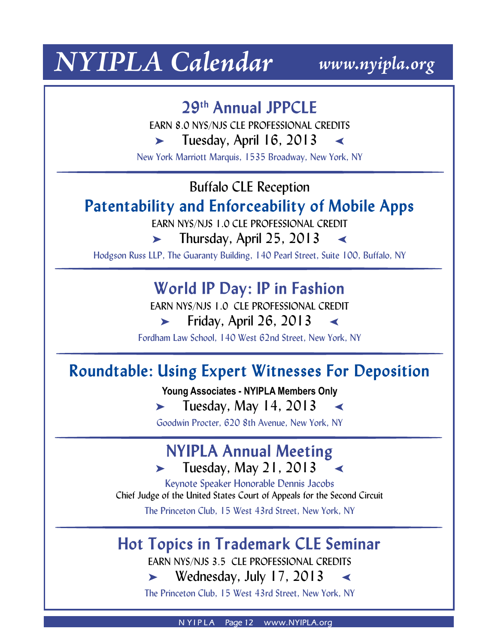# *NYIPLA Calendar www.nyipla.org*

# **29th Annual JPPCLE**

EARN 8.0 NYS/NJS CLE PROFESSIONAL CREDITS

 $\blacktriangleright$  Tuesday, April 16, 2013

New York Marriott Marquis, 1535 Broadway, New York, NY

# Buffalo CLE Reception

# **Patentability and Enforceability of Mobile Apps**

EARN NYS/NJS 1.0 CLE PROFESSIONAL CREDIT

 $\blacktriangleright$  Thursday, April 25, 2013

Hodgson Russ LLP, The Guaranty Building, 140 Pearl Street, Suite 100, Buffalo, NY

# **World IP Day: IP in Fashion**

EARN NYS/NJS 1.0 CLE PROFESSIONAL CREDIT

 $\blacktriangleright$  Friday, April 26, 2013

Fordham Law School, 140 West 62nd Street, New York, NY

# **Roundtable: Using Expert Witnesses For Deposition**

**Young Associates - NYIPLA Members Only**

 $\blacktriangleright$  Tuesday, May 14, 2013

Goodwin Procter, 620 8th Avenue, New York, NY

# **NYIPLA Annual Meeting**  $\blacktriangleright$  Tuesday, May 21, 2013

Keynote Speaker Honorable Dennis Jacobs Chief Judge of the United States Court of Appeals for the Second Circuit The Princeton Club, 15 West 43rd Street, New York, NY

# **Hot Topics in Trademark CLE Seminar**

EARN NYS/NJS 3.5 CLE PROFESSIONAL CREDITS

 $\blacktriangleright$  Wednesday, July 17, 2013

The Princeton Club, 15 West 43rd Street, New York, NY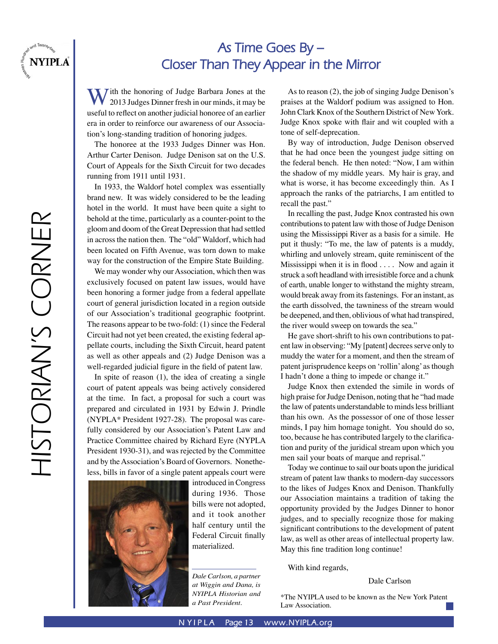

# **As Time Goes By – Closer Than They Appear in the Mirror**

With the honoring of Judge Barbara Jones at the 2013 Judges Dinner fresh in our minds, it may be useful to reflect on another judicial honoree of an earlier era in order to reinforce our awareness of our Association's long-standing tradition of honoring judges.

The honoree at the 1933 Judges Dinner was Hon. Arthur Carter Denison. Judge Denison sat on the U.S. Court of Appeals for the Sixth Circuit for two decades running from 1911 until 1931.

In 1933, the Waldorf hotel complex was essentially brand new. It was widely considered to be the leading hotel in the world. It must have been quite a sight to behold at the time, particularly as a counter-point to the gloom and doom of the Great Depression that had settled in across the nation then. The "old" Waldorf, which had been located on Fifth Avenue, was torn down to make way for the construction of the Empire State Building.

We may wonder why our Association, which then was exclusively focused on patent law issues, would have been honoring a former judge from a federal appellate court of general jurisdiction located in a region outside of our Association's traditional geographic footprint. The reasons appear to be two-fold: (1) since the Federal Circuit had not yet been created, the existing federal appellate courts, including the Sixth Circuit, heard patent as well as other appeals and (2) Judge Denison was a well-regarded judicial figure in the field of patent law.

In spite of reason (1), the idea of creating a single court of patent appeals was being actively considered at the time. In fact, a proposal for such a court was prepared and circulated in 1931 by Edwin J. Prindle (NYPLA\* President 1927-28). The proposal was carefully considered by our Association's Patent Law and Practice Committee chaired by Richard Eyre (NYPLA President 1930-31), and was rejected by the Committee and by the Association's Board of Governors. Nonetheless, bills in favor of a single patent appeals court were



introduced in Congress during 1936. Those bills were not adopted, and it took another half century until the Federal Circuit finally materialized.

*Dale Carlson, a partner at Wiggin and Dana, is NYIPLA Historian and a Past President.*

As to reason (2), the job of singing Judge Denison's praises at the Waldorf podium was assigned to Hon. John Clark Knox of the Southern District of New York. Judge Knox spoke with flair and wit coupled with a tone of self-deprecation.

By way of introduction, Judge Denison observed that he had once been the youngest judge sitting on the federal bench. He then noted: "Now, I am within the shadow of my middle years. My hair is gray, and what is worse, it has become exceedingly thin. As I approach the ranks of the patriarchs, I am entitled to recall the past."

In recalling the past, Judge Knox contrasted his own contributions to patent law with those of Judge Denison using the Mississippi River as a basis for a simile. He put it thusly: "To me, the law of patents is a muddy, whirling and unlovely stream, quite reminiscent of the Mississippi when it is in flood . . . . Now and again it struck a soft headland with irresistible force and a chunk of earth, unable longer to withstand the mighty stream, would break away from its fastenings. For an instant, as the earth dissolved, the tawniness of the stream would be deepened, and then, oblivious of what had transpired, the river would sweep on towards the sea."

He gave short-shrift to his own contributions to patent law in observing: "My [patent] decrees serve only to muddy the water for a moment, and then the stream of patent jurisprudence keeps on 'rollin' along' as though I hadn't done a thing to impede or change it."

Judge Knox then extended the simile in words of high praise for Judge Denison, noting that he "had made the law of patents understandable to minds less brilliant than his own. As the possessor of one of those lesser minds, I pay him homage tonight. You should do so, too, because he has contributed largely to the clarification and purity of the juridical stream upon which you men sail your boats of marque and reprisal."

Today we continue to sail our boats upon the juridical stream of patent law thanks to modern-day successors to the likes of Judges Knox and Denison. Thankfully our Association maintains a tradition of taking the opportunity provided by the Judges Dinner to honor judges, and to specially recognize those for making significant contributions to the development of patent law, as well as other areas of intellectual property law. May this fine tradition long continue!

With kind regards,

Dale Carlson

\*The NYIPLA used to be known as the New York Patent Law Association.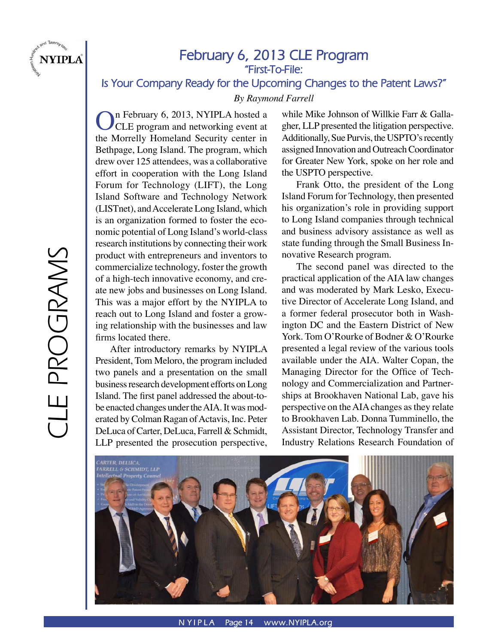

# **February 6, 2013 CLE Program "First-To-File:**

**Is Your Company Ready for the Upcoming Changes to the Patent Laws?"**

*By Raymond Farrell*

On February 6, 2013, NYIPLA hosted a<br>CLE program and networking event at the Morrelly Homeland Security center in Bethpage, Long Island. The program, which drew over 125 attendees, was a collaborative effort in cooperation with the Long Island Forum for Technology (LIFT), the Long Island Software and Technology Network (LISTnet), and Accelerate Long Island, which is an organization formed to foster the economic potential of Long Island's world-class research institutions by connecting their work product with entrepreneurs and inventors to commercialize technology, foster the growth of a high-tech innovative economy, and create new jobs and businesses on Long Island. This was a major effort by the NYIPLA to reach out to Long Island and foster a growing relationship with the businesses and law firms located there.

 After introductory remarks by NYIPLA President, Tom Meloro, the program included two panels and a presentation on the small business research development efforts on Long Island. The first panel addressed the about-tobe enacted changes under the AIA. It was moderated by Colman Ragan of Actavis, Inc. Peter DeLuca of Carter, DeLuca, Farrell & Schmidt, LLP presented the prosecution perspective,

while Mike Johnson of Willkie Farr & Gallagher, LLP presented the litigation perspective. Additionally, Sue Purvis, the USPTO's recently assigned Innovation and Outreach Coordinator for Greater New York, spoke on her role and the USPTO perspective.

 Frank Otto, the president of the Long Island Forum for Technology, then presented his organization's role in providing support to Long Island companies through technical and business advisory assistance as well as state funding through the Small Business Innovative Research program.

 The second panel was directed to the practical application of the AIA law changes and was moderated by Mark Lesko, Executive Director of Accelerate Long Island, and a former federal prosecutor both in Washington DC and the Eastern District of New York. Tom O'Rourke of Bodner & O'Rourke presented a legal review of the various tools available under the AIA. Walter Copan, the Managing Director for the Office of Technology and Commercialization and Partnerships at Brookhaven National Lab, gave his perspective on the AIA changes as they relate to Brookhaven Lab. Donna Tumminello, the Assistant Director, Technology Transfer and Industry Relations Research Foundation of

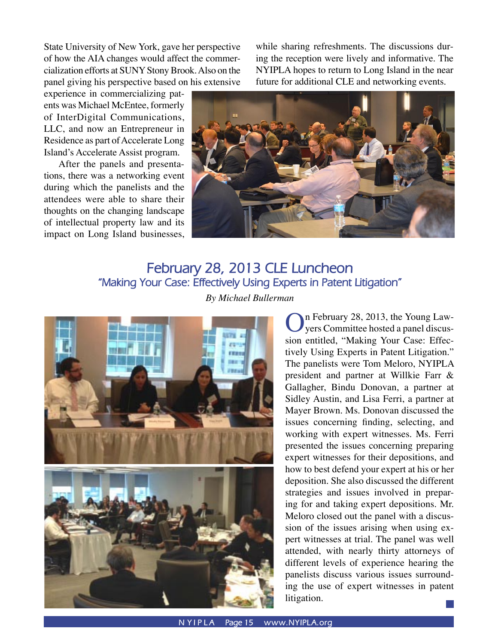State University of New York, gave her perspective of how the AIA changes would affect the commercialization efforts at SUNY Stony Brook. Also on the panel giving his perspective based on his extensive while sharing refreshments. The discussions during the reception were lively and informative. The NYIPLA hopes to return to Long Island in the near future for additional CLE and networking events.

experience in commercializing patents was Michael McEntee, formerly of InterDigital Communications, LLC, and now an Entrepreneur in Residence as part of Accelerate Long Island's Accelerate Assist program.

 After the panels and presentations, there was a networking event during which the panelists and the attendees were able to share their thoughts on the changing landscape of intellectual property law and its impact on Long Island businesses,



# **February 28, 2013 CLE Luncheon "Making Your Case: Effectively Using Experts in Patent Litigation"** *By Michael Bullerman*



On February 28, 2013, the Young Law-<br>
yers Committee hosted a panel discussion entitled, "Making Your Case: Effectively Using Experts in Patent Litigation." The panelists were Tom Meloro, NYIPLA president and partner at Willkie Farr & Gallagher, Bindu Donovan, a partner at Sidley Austin, and Lisa Ferri, a partner at Mayer Brown. Ms. Donovan discussed the issues concerning finding, selecting, and working with expert witnesses. Ms. Ferri presented the issues concerning preparing expert witnesses for their depositions, and how to best defend your expert at his or her deposition. She also discussed the different strategies and issues involved in preparing for and taking expert depositions. Mr. Meloro closed out the panel with a discussion of the issues arising when using expert witnesses at trial. The panel was well attended, with nearly thirty attorneys of different levels of experience hearing the panelists discuss various issues surrounding the use of expert witnesses in patent litigation.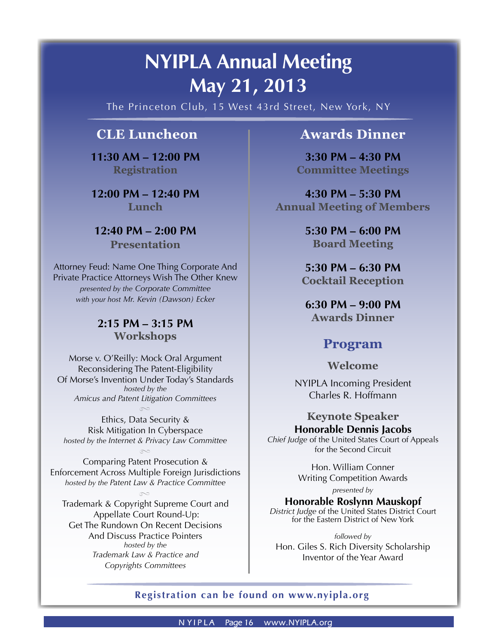# **NYIPLA Annual Meeting May 21, 2013**

The Princeton Club, 15 West 43rd Street, New York, NY

# **CLE Luncheon**

**11:30 AM – 12:00 PM Registration**

**12:00 PM – 12:40 PM Lunch**

**12:40 PM – 2:00 PM Presentation**

Attorney Feud: Name One Thing Corporate And Private Practice Attorneys Wish The Other Knew *presented by the Corporate Committee with your host Mr. Kevin (Dawson) Ecker*

# **2:15 PM – 3:15 PM Workshops**

Morse v. O'Reilly: Mock Oral Argument Reconsidering The Patent-Eligibility Of Morse's Invention Under Today's Standards *hosted by the Amicus and Patent Litigation Committees*  $\infty$ 

Ethics, Data Security & Risk Mitigation In Cyberspace *hosted by the Internet & Privacy Law Committee*

 $\infty$ 

Comparing Patent Prosecution & Enforcement Across Multiple Foreign Jurisdictions *hosted by the Patent Law & Practice Committee*

Trademark & Copyright Supreme Court and Appellate Court Round-Up: Get The Rundown On Recent Decisions And Discuss Practice Pointers *hosted by the Trademark Law & Practice and Copyrights Committees*  $\infty$ 

# **Awards Dinner**

**3:30 PM – 4:30 PM Committee Meetings**

**4:30 PM – 5:30 PM Annual Meeting of Members**

> **5:30 PM – 6:00 PM Board Meeting**

**5:30 PM – 6:30 PM Cocktail Reception**

**6:30 PM – 9:00 PM Awards Dinner** 

# **Program**

**Welcome**

NYIPLA Incoming President Charles R. Hoffmann

# **Keynote Speaker Honorable Dennis Jacobs**

*Chief Judge* of the United States Court of Appeals for the Second Circuit

> Hon. William Conner Writing Competition Awards

> > *presented by*

**Honorable Roslynn Mauskopf**

*District Judge* of the United States District Court for the Eastern District of New York

*followed by* Hon. Giles S. Rich Diversity Scholarship Inventor of the Year Award

# **Registration can be found on www.nyipla.org**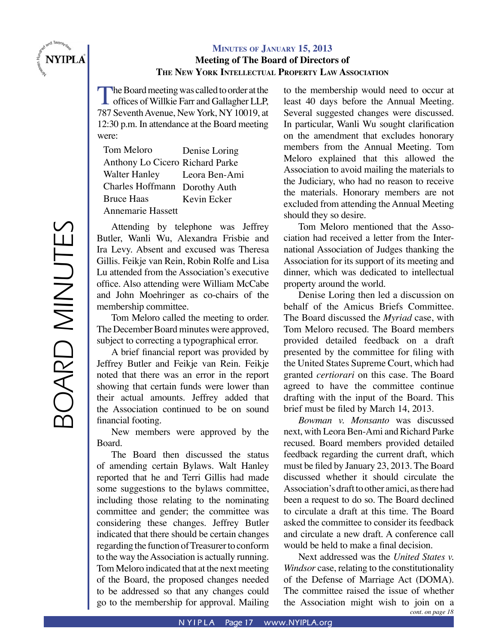

# **MINUTES OF JANUARY 15, 2013**

### **Meeting of The Board of Directors of THE NEW YORK INTELLECTUAL PROPERTY LAW ASSOCIATION**

The Board meeting was called to order at the offices of Willkie Farr and Gallagher LLP, 787 Seventh Avenue, New York, NY 10019, at 12:30 p.m. In attendance at the Board meeting were:

Tom Meloro Anthony Lo Cicero Richard Parke Walter Hanley Charles Hoffmann Dorothy Auth Bruce Haas Annemarie Hassett Denise Loring Leora Ben-Ami Kevin Ecker

Attending by telephone was Jeffrey Butler, Wanli Wu, Alexandra Frisbie and Ira Levy. Absent and excused was Theresa Gillis. Feikje van Rein, Robin Rolfe and Lisa Lu attended from the Association's executive office. Also attending were William McCabe and John Moehringer as co-chairs of the membership committee.

Tom Meloro called the meeting to order. The December Board minutes were approved, subject to correcting a typographical error.

A brief financial report was provided by Jeffrey Butler and Feikje van Rein. Feikje noted that there was an error in the report showing that certain funds were lower than their actual amounts. Jeffrey added that the Association continued to be on sound financial footing.

New members were approved by the Board.

The Board then discussed the status of amending certain Bylaws. Walt Hanley reported that he and Terri Gillis had made some suggestions to the bylaws committee, including those relating to the nominating committee and gender; the committee was considering these changes. Jeffrey Butler indicated that there should be certain changes regarding the function of Treasurer to conform to the way the Association is actually running. Tom Meloro indicated that at the next meeting of the Board, the proposed changes needed to be addressed so that any changes could go to the membership for approval. Mailing to the membership would need to occur at least 40 days before the Annual Meeting. Several suggested changes were discussed. In particular, Wanli Wu sought clarification on the amendment that excludes honorary members from the Annual Meeting. Tom Meloro explained that this allowed the Association to avoid mailing the materials to the Judiciary, who had no reason to receive the materials. Honorary members are not excluded from attending the Annual Meeting should they so desire.

Tom Meloro mentioned that the Association had received a letter from the International Association of Judges thanking the Association for its support of its meeting and dinner, which was dedicated to intellectual property around the world.

Denise Loring then led a discussion on behalf of the Amicus Briefs Committee. The Board discussed the *Myriad* case, with Tom Meloro recused. The Board members provided detailed feedback on a draft presented by the committee for filing with the United States Supreme Court, which had granted *certiorari* on this case. The Board agreed to have the committee continue drafting with the input of the Board. This brief must be filed by March 14, 2013.

*Bowman v. Monsanto* was discussed next, with Leora Ben-Ami and Richard Parke recused. Board members provided detailed feedback regarding the current draft, which must be filed by January 23, 2013. The Board discussed whether it should circulate the Association's draft to other amici, as there had been a request to do so. The Board declined to circulate a draft at this time. The Board asked the committee to consider its feedback and circulate a new draft. A conference call would be held to make a final decision.

Next addressed was the *United States v. Windsor* case, relating to the constitutionality of the Defense of Marriage Act (DOMA). The committee raised the issue of whether the Association might wish to join on a *cont. on page 18*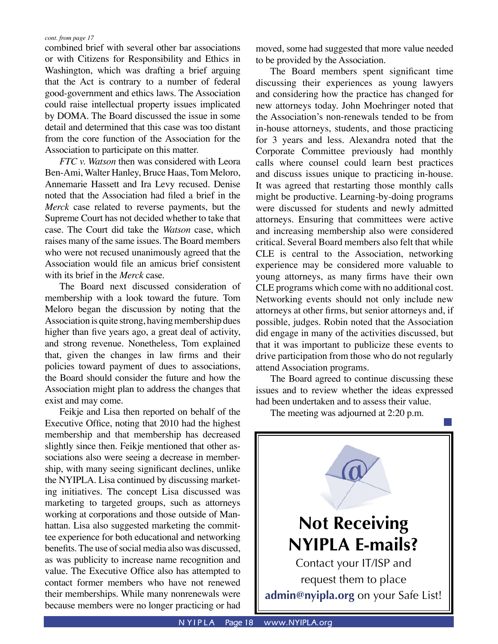combined brief with several other bar associations or with Citizens for Responsibility and Ethics in Washington, which was drafting a brief arguing that the Act is contrary to a number of federal good-government and ethics laws. The Association could raise intellectual property issues implicated by DOMA. The Board discussed the issue in some detail and determined that this case was too distant from the core function of the Association for the Association to participate on this matter.

*FTC v. Watson* then was considered with Leora Ben-Ami, Walter Hanley, Bruce Haas, Tom Meloro, Annemarie Hassett and Ira Levy recused. Denise noted that the Association had filed a brief in the *Merck* case related to reverse payments, but the Supreme Court has not decided whether to take that case. The Court did take the *Watson* case, which raises many of the same issues. The Board members who were not recused unanimously agreed that the Association would file an amicus brief consistent with its brief in the *Merck* case.

The Board next discussed consideration of membership with a look toward the future. Tom Meloro began the discussion by noting that the Association is quite strong, having membership dues higher than five years ago, a great deal of activity, and strong revenue. Nonetheless, Tom explained that, given the changes in law firms and their policies toward payment of dues to associations, the Board should consider the future and how the Association might plan to address the changes that exist and may come.

Feikje and Lisa then reported on behalf of the Executive Office, noting that 2010 had the highest membership and that membership has decreased slightly since then. Feikje mentioned that other associations also were seeing a decrease in membership, with many seeing significant declines, unlike the NYIPLA. Lisa continued by discussing marketing initiatives. The concept Lisa discussed was marketing to targeted groups, such as attorneys working at corporations and those outside of Manhattan. Lisa also suggested marketing the committee experience for both educational and networking benefits. The use of social media also was discussed, as was publicity to increase name recognition and value. The Executive Office also has attempted to contact former members who have not renewed their memberships. While many nonrenewals were because members were no longer practicing or had moved, some had suggested that more value needed to be provided by the Association.

The Board members spent significant time discussing their experiences as young lawyers and considering how the practice has changed for new attorneys today. John Moehringer noted that the Association's non-renewals tended to be from in-house attorneys, students, and those practicing for 3 years and less. Alexandra noted that the Corporate Committee previously had monthly calls where counsel could learn best practices and discuss issues unique to practicing in-house. It was agreed that restarting those monthly calls might be productive. Learning-by-doing programs were discussed for students and newly admitted attorneys. Ensuring that committees were active and increasing membership also were considered critical. Several Board members also felt that while CLE is central to the Association, networking experience may be considered more valuable to young attorneys, as many firms have their own CLE programs which come with no additional cost. Networking events should not only include new attorneys at other firms, but senior attorneys and, if possible, judges. Robin noted that the Association did engage in many of the activities discussed, but that it was important to publicize these events to drive participation from those who do not regularly attend Association programs.

The Board agreed to continue discussing these issues and to review whether the ideas expressed had been undertaken and to assess their value.

The meeting was adjourned at 2:20 p.m.

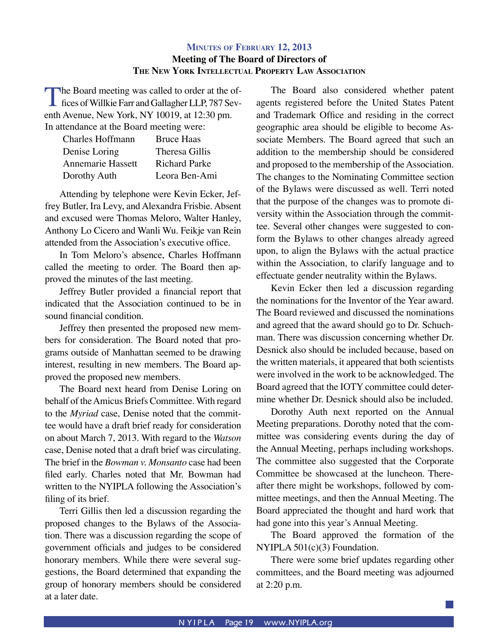# **MINUTES OF FEBRUARY 12, 2013 Meeting of The Board of Directors of THE NEW YORK INTELLECTUAL PROPERTY LAW ASSOCIATION**

The Board meeting was called to order at the of-<br>fices of Willkie Farr and Gallagher LLP, 787 Seventh Avenue, New York, NY 10019, at 12:30 pm.

| In attendance at the Board meeting were: |                      |
|------------------------------------------|----------------------|
| <b>Charles Hoffmann</b>                  | <b>Bruce Haas</b>    |
| Denise Loring                            | Theresa Gillis       |
| Annemarie Hassett                        | <b>Richard Parke</b> |
| Dorothy Auth                             | Leora Ben-Ami        |

Attending by telephone were Kevin Ecker, Jeffrey Butler, Ira Levy, and Alexandra Frisbie. Absent and excused were Thomas Meloro, Walter Hanley, Anthony Lo Cicero and Wanli Wu. Feikje van Rein attended from the Association's executive office.

In Tom Meloro's absence, Charles Hoffmann called the meeting to order. The Board then approved the minutes of the last meeting.

Jeffrey Butler provided a financial report that indicated that the Association continued to be in sound financial condition.

Jeffrey then presented the proposed new members for consideration. The Board noted that programs outside of Manhattan seemed to be drawing interest, resulting in new members. The Board approved the proposed new members.

The Board next heard from Denise Loring on behalf of the Amicus Briefs Committee. With regard to the *Myriad* case, Denise noted that the committee would have a draft brief ready for consideration on about March 7, 2013. With regard to the *Watson* case, Denise noted that a draft brief was circulating. The brief in the *Bowman v. Monsanto* case had been filed early. Charles noted that Mr. Bowman had written to the NYIPLA following the Association's filing of its brief.

Terri Gillis then led a discussion regarding the proposed changes to the Bylaws of the Association. There was a discussion regarding the scope of government officials and judges to be considered honorary members. While there were several suggestions, the Board determined that expanding the group of honorary members should be considered at a later date.

The Board also considered whether patent agents registered before the United States Patent and Trademark Office and residing in the correct geographic area should be eligible to become Associate Members. The Board agreed that such an addition to the membership should be considered and proposed to the membership of the Association. The changes to the Nominating Committee section of the Bylaws were discussed as well. Terri noted that the purpose of the changes was to promote diversity within the Association through the committee. Several other changes were suggested to conform the Bylaws to other changes already agreed upon, to align the Bylaws with the actual practice within the Association, to clarify language and to effectuate gender neutrality within the Bylaws.

Kevin Ecker then led a discussion regarding the nominations for the Inventor of the Year award. The Board reviewed and discussed the nominations and agreed that the award should go to Dr. Schuchman. There was discussion concerning whether Dr. Desnick also should be included because, based on the written materials, it appeared that both scientists were involved in the work to be acknowledged. The Board agreed that the IOTY committee could determine whether Dr. Desnick should also be included.

Dorothy Auth next reported on the Annual Meeting preparations. Dorothy noted that the committee was considering events during the day of the Annual Meeting, perhaps including workshops. The committee also suggested that the Corporate Committee be showcased at the luncheon. Thereafter there might be workshops, followed by committee meetings, and then the Annual Meeting. The Board appreciated the thought and hard work that had gone into this year's Annual Meeting.

The Board approved the formation of the NYIPLA 501(c)(3) Foundation.

There were some brief updates regarding other committees, and the Board meeting was adjourned at 2:20 p.m.